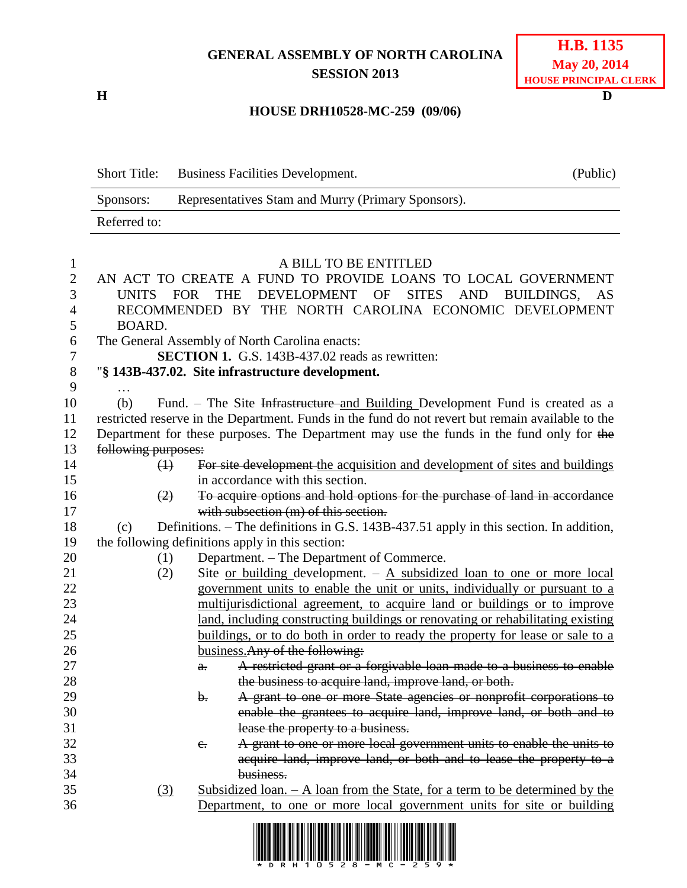## **GENERAL ASSEMBLY OF NORTH CAROLINA SESSION 2013**

**H D**

## **HOUSE DRH10528-MC-259 (09/06)**

Short Title: Business Facilities Development. (Public) Sponsors: Representatives Stam and Murry (Primary Sponsors). Referred to:

| 1              |                                                                                          |             |                    | A BILL TO BE ENTITLED                                                                             |  |  |
|----------------|------------------------------------------------------------------------------------------|-------------|--------------------|---------------------------------------------------------------------------------------------------|--|--|
| $\overline{2}$ |                                                                                          |             |                    | AN ACT TO CREATE A FUND TO PROVIDE LOANS TO LOCAL GOVERNMENT                                      |  |  |
| $\overline{3}$ |                                                                                          | UNITS FOR   | <b>THE</b>         | DEVELOPMENT OF<br>SITES AND BUILDINGS,<br>AS                                                      |  |  |
| $\overline{4}$ |                                                                                          |             |                    | RECOMMENDED BY THE NORTH CAROLINA ECONOMIC DEVELOPMENT                                            |  |  |
| 5              | BOARD.                                                                                   |             |                    |                                                                                                   |  |  |
| 6              |                                                                                          |             |                    | The General Assembly of North Carolina enacts:                                                    |  |  |
| $\overline{7}$ |                                                                                          |             |                    | <b>SECTION 1.</b> G.S. 143B-437.02 reads as rewritten:                                            |  |  |
| $\, 8$         |                                                                                          |             |                    | "§ 143B-437.02. Site infrastructure development.                                                  |  |  |
| 9              |                                                                                          |             |                    |                                                                                                   |  |  |
| 10             | (b)                                                                                      |             |                    | Fund. - The Site Infrastructure and Building Development Fund is created as a                     |  |  |
| 11             |                                                                                          |             |                    | restricted reserve in the Department. Funds in the fund do not revert but remain available to the |  |  |
| 12             | Department for these purposes. The Department may use the funds in the fund only for the |             |                    |                                                                                                   |  |  |
| 13             | following purposes:                                                                      |             |                    |                                                                                                   |  |  |
| 14             |                                                                                          | $\bigoplus$ |                    | For site development the acquisition and development of sites and buildings                       |  |  |
| 15             |                                                                                          |             |                    | in accordance with this section.                                                                  |  |  |
| 16             |                                                                                          | (2)         |                    | To acquire options and hold options for the purchase of land in accordance                        |  |  |
| 17             |                                                                                          |             |                    | with subsection (m) of this section.                                                              |  |  |
| 18             | (c)                                                                                      |             |                    | Definitions. – The definitions in G.S. 143B-437.51 apply in this section. In addition,            |  |  |
| 19             |                                                                                          |             |                    | the following definitions apply in this section:                                                  |  |  |
| 20             |                                                                                          | (1)         |                    | Department. – The Department of Commerce.                                                         |  |  |
| 21             |                                                                                          | (2)         |                    | Site or building development. $-$ A subsidized loan to one or more local                          |  |  |
| 22             |                                                                                          |             |                    | government units to enable the unit or units, individually or pursuant to a                       |  |  |
| 23             |                                                                                          |             |                    | multijurisdictional agreement, to acquire land or buildings or to improve                         |  |  |
| 24             |                                                                                          |             |                    | land, including constructing buildings or renovating or rehabilitating existing                   |  |  |
| 25             |                                                                                          |             |                    | buildings, or to do both in order to ready the property for lease or sale to a                    |  |  |
| 26             |                                                                                          |             |                    | business. Any of the following:                                                                   |  |  |
| 27             |                                                                                          |             | $a$ .              | A restricted grant or a forgivable loan made to a business to enable                              |  |  |
| 28             |                                                                                          |             |                    | the business to acquire land, improve land, or both.                                              |  |  |
| 29             |                                                                                          |             | $\mathbf{b}$ .     | A grant to one or more State agencies or nonprofit corporations to                                |  |  |
| 30             |                                                                                          |             |                    | enable the grantees to acquire land, improve land, or both and to                                 |  |  |
| 31             |                                                                                          |             |                    | lease the property to a business.                                                                 |  |  |
| 32             |                                                                                          |             | $e_{\overline{z}}$ | A grant to one or more local government units to enable the units to                              |  |  |
| 33             |                                                                                          |             |                    | acquire land, improve land, or both and to lease the property to a                                |  |  |
| 34             |                                                                                          |             |                    | business.                                                                                         |  |  |
| 35             |                                                                                          | (3)         |                    | Subsidized loan. $- A$ loan from the State, for a term to be determined by the                    |  |  |
| 36             |                                                                                          |             |                    | Department, to one or more local government units for site or building                            |  |  |
|                |                                                                                          |             |                    |                                                                                                   |  |  |

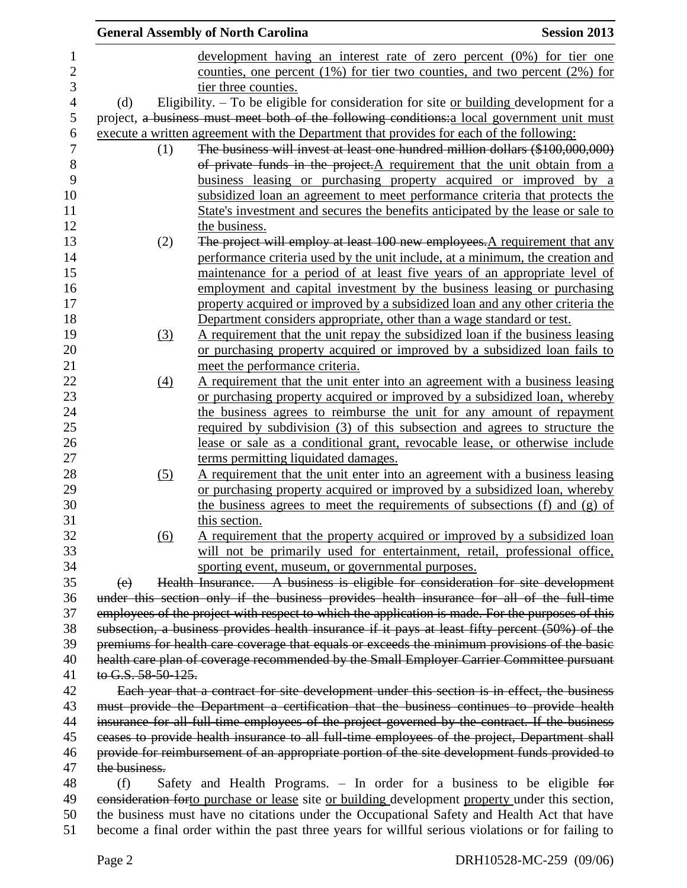|                    |                  | <b>General Assembly of North Carolina</b>                                                        | <b>Session 2013</b> |
|--------------------|------------------|--------------------------------------------------------------------------------------------------|---------------------|
|                    |                  | development having an interest rate of zero percent $(0\%)$ for tier one                         |                     |
|                    |                  | counties, one percent $(1\%)$ for tier two counties, and two percent $(2\%)$ for                 |                     |
|                    |                  | tier three counties.                                                                             |                     |
| (d)                |                  | Eligibility. $-$ To be eligible for consideration for site or building development for a         |                     |
|                    |                  | project, a business must meet both of the following conditions: a local government unit must     |                     |
|                    |                  | execute a written agreement with the Department that provides for each of the following:         |                     |
|                    | (1)              | The business will invest at least one hundred million dollars (\$100,000,000)                    |                     |
|                    |                  | of private funds in the project. A requirement that the unit obtain from a                       |                     |
|                    |                  | business leasing or purchasing property acquired or improved by a                                |                     |
|                    |                  | subsidized loan an agreement to meet performance criteria that protects the                      |                     |
|                    |                  | State's investment and secures the benefits anticipated by the lease or sale to                  |                     |
|                    |                  | the business.                                                                                    |                     |
|                    | (2)              | The project will employ at least 100 new employees. A requirement that any                       |                     |
|                    |                  | performance criteria used by the unit include, at a minimum, the creation and                    |                     |
|                    |                  | maintenance for a period of at least five years of an appropriate level of                       |                     |
|                    |                  | employment and capital investment by the business leasing or purchasing                          |                     |
|                    |                  | property acquired or improved by a subsidized loan and any other criteria the                    |                     |
|                    |                  | Department considers appropriate, other than a wage standard or test.                            |                     |
|                    | (3)              | A requirement that the unit repay the subsidized loan if the business leasing                    |                     |
|                    |                  | or purchasing property acquired or improved by a subsidized loan fails to                        |                     |
|                    |                  | meet the performance criteria.                                                                   |                     |
|                    | $\left(4\right)$ | A requirement that the unit enter into an agreement with a business leasing                      |                     |
|                    |                  | or purchasing property acquired or improved by a subsidized loan, whereby                        |                     |
|                    |                  | the business agrees to reimburse the unit for any amount of repayment                            |                     |
|                    |                  | required by subdivision (3) of this subsection and agrees to structure the                       |                     |
|                    |                  | lease or sale as a conditional grant, revocable lease, or otherwise include                      |                     |
|                    |                  | terms permitting liquidated damages.                                                             |                     |
|                    | (5)              | A requirement that the unit enter into an agreement with a business leasing                      |                     |
|                    |                  | or purchasing property acquired or improved by a subsidized loan, whereby                        |                     |
|                    |                  | the business agrees to meet the requirements of subsections (f) and (g) of<br>this section.      |                     |
|                    | (6)              | A requirement that the property acquired or improved by a subsidized loan                        |                     |
|                    |                  | will not be primarily used for entertainment, retail, professional office,                       |                     |
|                    |                  | sporting event, museum, or governmental purposes.                                                |                     |
| (e)                |                  | Health Insurance. $-$ A business is eligible for consideration for site development              |                     |
|                    |                  | under this section only if the business provides health insurance for all of the full-time       |                     |
|                    |                  | employees of the project with respect to which the application is made. For the purposes of this |                     |
|                    |                  | subsection, a business provides health insurance if it pays at least fifty percent (50%) of the  |                     |
|                    |                  | premiums for health care coverage that equals or exceeds the minimum provisions of the basic     |                     |
|                    |                  | health care plan of coverage recommended by the Small Employer Carrier Committee pursuant        |                     |
| to G.S. 58-50-125. |                  |                                                                                                  |                     |
|                    |                  | Each year that a contract for site development under this section is in effect, the business     |                     |
|                    |                  | must provide the Department a certification that the business continues to provide health        |                     |
|                    |                  | insurance for all full-time employees of the project governed by the contract. If the business   |                     |
|                    |                  | ceases to provide health insurance to all full time employees of the project, Department shall   |                     |
|                    |                  | provide for reimbursement of an appropriate portion of the site development funds provided to    |                     |
| the business.      |                  |                                                                                                  |                     |
| (f)                |                  | Safety and Health Programs. - In order for a business to be eligible for                         |                     |
|                    |                  | consideration forto purchase or lease site or building development property under this section,  |                     |
|                    |                  | the business must have no citations under the Occupational Safety and Health Act that have       |                     |

become a final order within the past three years for willful serious violations or for failing to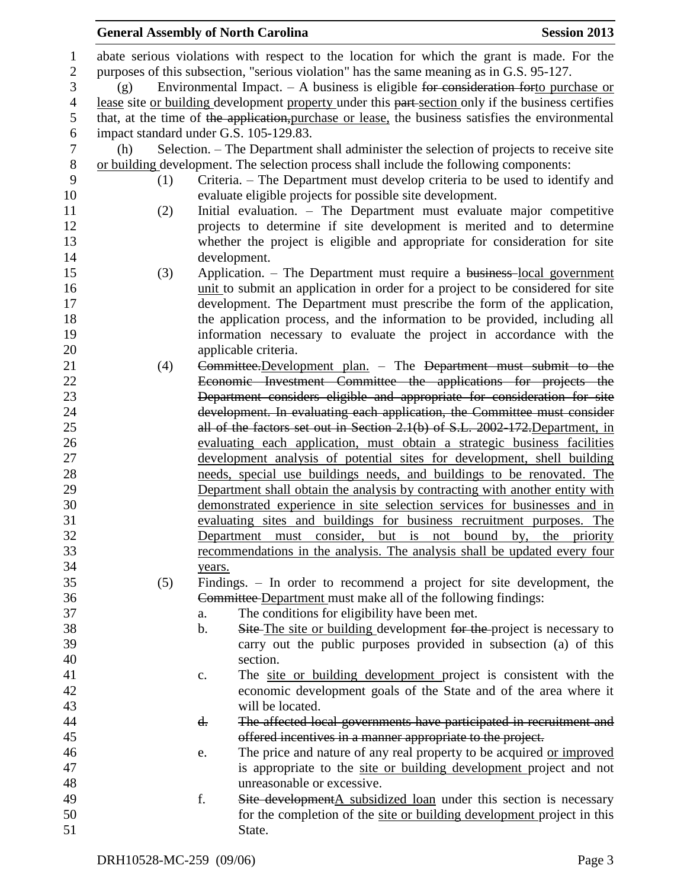## **General Assembly of North Carolina Session 2013**  abate serious violations with respect to the location for which the grant is made. For the purposes of this subsection, "serious violation" has the same meaning as in G.S. 95-127. (g) Environmental Impact. – A business is eligible for consideration forto purchase or 4 lease site or building development property under this part-section only if the business certifies that, at the time of the application,purchase or lease, the business satisfies the environmental impact standard under G.S. 105-129.83. (h) Selection. – The Department shall administer the selection of projects to receive site or building development. The selection process shall include the following components: (1) Criteria. – The Department must develop criteria to be used to identify and evaluate eligible projects for possible site development. (2) Initial evaluation. – The Department must evaluate major competitive projects to determine if site development is merited and to determine whether the project is eligible and appropriate for consideration for site development. (3) Application. – The Department must require a business local government **unit** to submit an application in order for a project to be considered for site development. The Department must prescribe the form of the application, the application process, and the information to be provided, including all information necessary to evaluate the project in accordance with the applicable criteria. (4) Committee.Development plan. – The Department must submit to the Economic Investment Committee the applications for projects the Department considers eligible and appropriate for consideration for site development. In evaluating each application, the Committee must consider all of the factors set out in Section 2.1(b) of S.L. 2002-172.Department, in evaluating each application, must obtain a strategic business facilities development analysis of potential sites for development, shell building needs, special use buildings needs, and buildings to be renovated. The Department shall obtain the analysis by contracting with another entity with demonstrated experience in site selection services for businesses and in evaluating sites and buildings for business recruitment purposes. The Department must consider, but is not bound by, the priority recommendations in the analysis. The analysis shall be updated every four years. (5) Findings. – In order to recommend a project for site development, the Committee Department must make all of the following findings: a. The conditions for eligibility have been met. 38 b. Site The site or building development for the project is necessary to carry out the public purposes provided in subsection (a) of this section. c. The site or building development project is consistent with the economic development goals of the State and of the area where it will be located. 44 d. The affected local governments have participated in recruitment and offered incentives in a manner appropriate to the project. e. The price and nature of any real property to be acquired or improved is appropriate to the site or building development project and not unreasonable or excessive. 49 f. Site developmentA subsidized loan under this section is necessary for the completion of the site or building development project in this

51 State.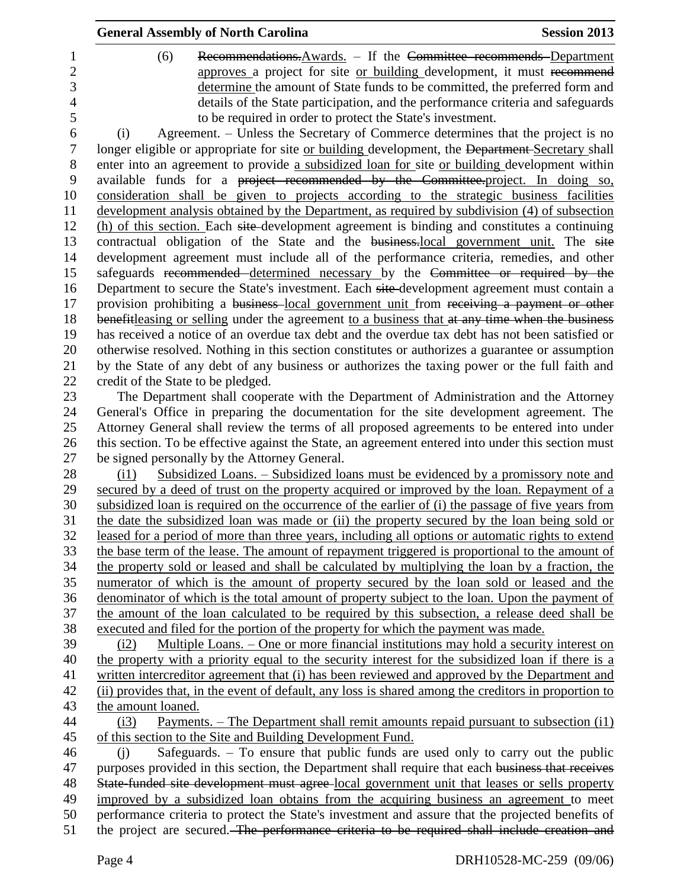| <b>Session 2013</b><br><b>General Assembly of North Carolina</b>                                     |
|------------------------------------------------------------------------------------------------------|
| Recommendations.Awards. - If the Committee recommends Department<br>(6)                              |
| approves a project for site or building development, it must recommend                               |
| determine the amount of State funds to be committed, the preferred form and                          |
| details of the State participation, and the performance criteria and safeguards                      |
| to be required in order to protect the State's investment.                                           |
| Agreement. – Unless the Secretary of Commerce determines that the project is no<br>(i)               |
| longer eligible or appropriate for site or building development, the Department-Secretary shall      |
| enter into an agreement to provide a subsidized loan for site or building development within         |
| available funds for a project recommended by the Committee-project. In doing so,                     |
| consideration shall be given to projects according to the strategic business facilities              |
| development analysis obtained by the Department, as required by subdivision (4) of subsection        |
| (h) of this section. Each site-development agreement is binding and constitutes a continuing         |
| contractual obligation of the State and the business-local government unit. The site                 |
| development agreement must include all of the performance criteria, remedies, and other              |
| safeguards recommended determined necessary by the Committee or required by the                      |
| Department to secure the State's investment. Each site-development agreement must contain a          |
| provision prohibiting a business-local government unit from receiving a payment or other             |
| benefitleasing or selling under the agreement to a business that at any time when the business       |
| has received a notice of an overdue tax debt and the overdue tax debt has not been satisfied or      |
| otherwise resolved. Nothing in this section constitutes or authorizes a guarantee or assumption      |
| by the State of any debt of any business or authorizes the taxing power or the full faith and        |
| credit of the State to be pledged.                                                                   |
| The Department shall cooperate with the Department of Administration and the Attorney                |
| General's Office in preparing the documentation for the site development agreement. The              |
| Attorney General shall review the terms of all proposed agreements to be entered into under          |
| this section. To be effective against the State, an agreement entered into under this section must   |
| be signed personally by the Attorney General.                                                        |
| <u>Subsidized Loans. – Subsidized loans must be evidenced by a promissory note and</u><br>(i1)       |
| secured by a deed of trust on the property acquired or improved by the loan. Repayment of a          |
| subsidized loan is required on the occurrence of the earlier of (i) the passage of five years from   |
| the date the subsidized loan was made or (ii) the property secured by the loan being sold or         |
| leased for a period of more than three years, including all options or automatic rights to extend    |
| the base term of the lease. The amount of repayment triggered is proportional to the amount of       |
| the property sold or leased and shall be calculated by multiplying the loan by a fraction, the       |
| numerator of which is the amount of property secured by the loan sold or leased and the              |
| denominator of which is the total amount of property subject to the loan. Upon the payment of        |
| the amount of the loan calculated to be required by this subsection, a release deed shall be         |
| executed and filed for the portion of the property for which the payment was made.                   |
| Multiple Loans. – One or more financial institutions may hold a security interest on<br>(i2)         |
| the property with a priority equal to the security interest for the subsidized loan if there is a    |
| written intercreditor agreement that (i) has been reviewed and approved by the Department and        |
| (ii) provides that, in the event of default, any loss is shared among the creditors in proportion to |
| the amount loaned.                                                                                   |
| Payments. – The Department shall remit amounts repaid pursuant to subsection $(i1)$<br>(i3)          |
| of this section to the Site and Building Development Fund.                                           |
| Safeguards. $-$ To ensure that public funds are used only to carry out the public<br>(i)             |
| purposes provided in this section, the Department shall require that each business that receives     |
| State-funded site development must agree-local government unit that leases or sells property         |
| improved by a subsidized loan obtains from the acquiring business an agreement to meet               |
| performance criteria to protect the State's investment and assure that the projected benefits of     |
| the project are secured. The performance criteria to be required shall include creation and          |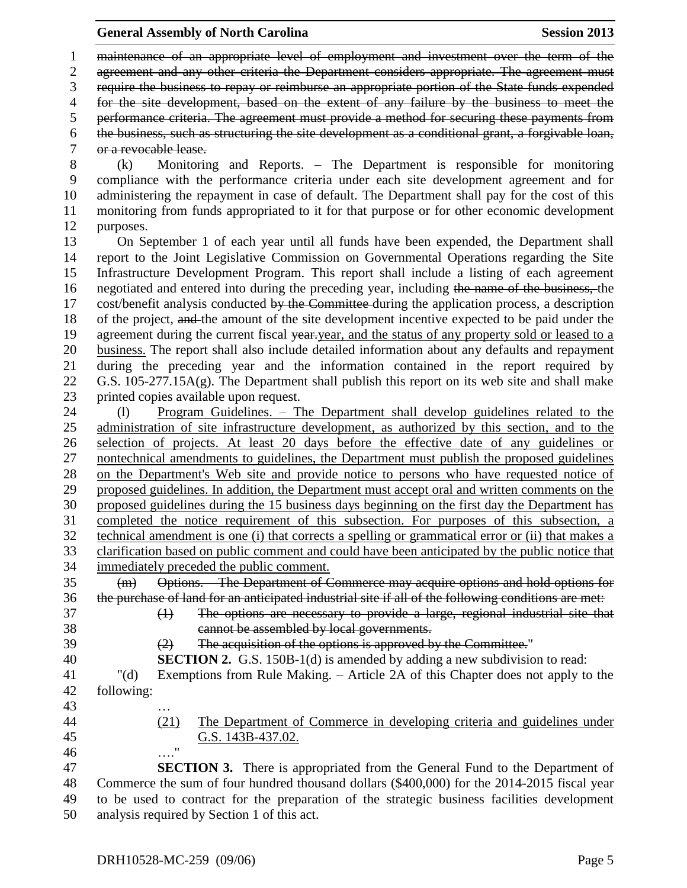## **General Assembly of North Carolina Session 2013**

 maintenance of an appropriate level of employment and investment over the term of the 2 agreement and any other criteria the Department considers appropriate. The agreement must require the business to repay or reimburse an appropriate portion of the State funds expended for the site development, based on the extent of any failure by the business to meet the performance criteria. The agreement must provide a method for securing these payments from 6 the business, such as structuring the site development as a conditional grant, a forgivable loan, or a revocable lease. or a revocable lease. (k) Monitoring and Reports. – The Department is responsible for monitoring compliance with the performance criteria under each site development agreement and for

 administering the repayment in case of default. The Department shall pay for the cost of this monitoring from funds appropriated to it for that purpose or for other economic development purposes.

 On September 1 of each year until all funds have been expended, the Department shall report to the Joint Legislative Commission on Governmental Operations regarding the Site Infrastructure Development Program. This report shall include a listing of each agreement negotiated and entered into during the preceding year, including the name of the business, the 17 cost/benefit analysis conducted by the Committee-during the application process, a description 18 of the project, and the amount of the site development incentive expected to be paid under the 19 agreement during the current fiscal year-year, and the status of any property sold or leased to a business. The report shall also include detailed information about any defaults and repayment during the preceding year and the information contained in the report required by G.S. 105-277.15A(g). The Department shall publish this report on its web site and shall make printed copies available upon request.

 (l) Program Guidelines. – The Department shall develop guidelines related to the administration of site infrastructure development, as authorized by this section, and to the selection of projects. At least 20 days before the effective date of any guidelines or nontechnical amendments to guidelines, the Department must publish the proposed guidelines on the Department's Web site and provide notice to persons who have requested notice of proposed guidelines. In addition, the Department must accept oral and written comments on the proposed guidelines during the 15 business days beginning on the first day the Department has completed the notice requirement of this subsection. For purposes of this subsection, a technical amendment is one (i) that corrects a spelling or grammatical error or (ii) that makes a clarification based on public comment and could have been anticipated by the public notice that immediately preceded the public comment.

 (m) Options. – The Department of Commerce may acquire options and hold options for the purchase of land for an anticipated industrial site if all of the following conditions are met:

- (1) The options are necessary to provide a large, regional industrial site that
	-
	-

 cannot be assembled by local governments.  $(2)$  The acquisition of the options is approved by the Committee."

**SECTION 2.** G.S. 150B-1(d) is amended by adding a new subdivision to read:

 "(d) Exemptions from Rule Making. – Article 2A of this Chapter does not apply to the following:

- …
- 
- (21) The Department of Commerce in developing criteria and guidelines under G.S. 143B-437.02. …."

 **SECTION 3.** There is appropriated from the General Fund to the Department of Commerce the sum of four hundred thousand dollars (\$400,000) for the 2014-2015 fiscal year to be used to contract for the preparation of the strategic business facilities development analysis required by Section 1 of this act.